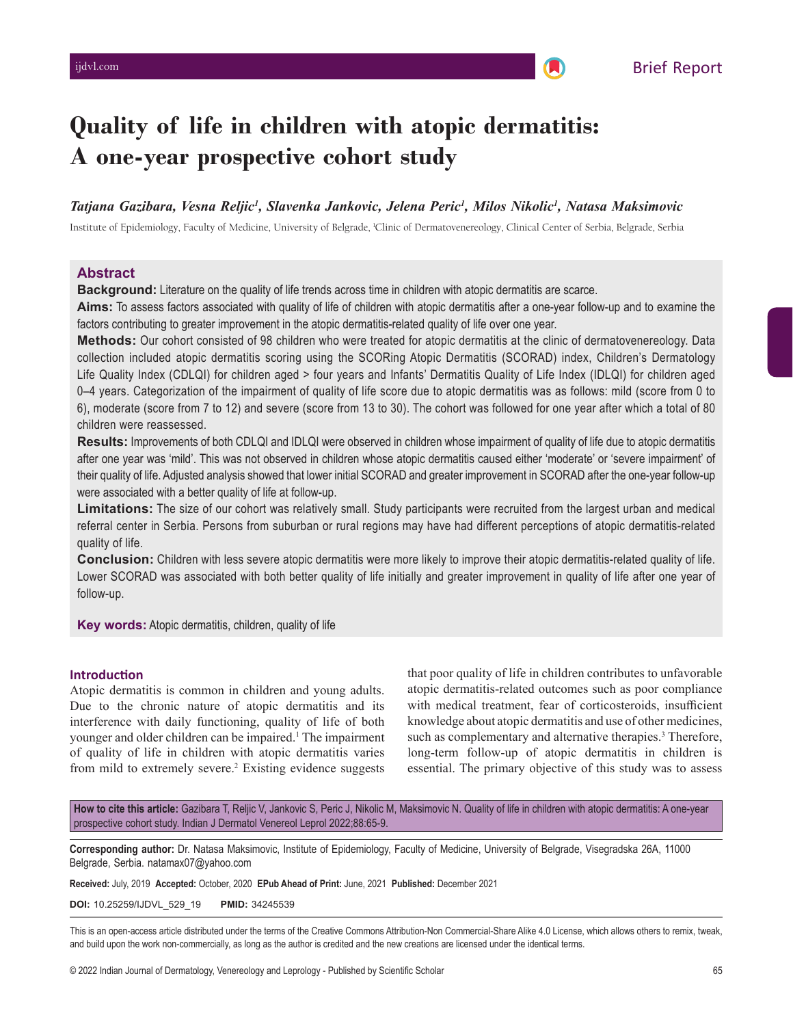# **Quality of life in children with atopic dermatitis: A one‑year prospective cohort study**

# *Tatjana Gazibara, Vesna Reljic1 , Slavenka Jankovic, Jelena Peric1 , Milos Nikolic1 , Natasa Maksimovic*

Institute of Epidemiology, Faculty of Medicine, University of Belgrade, 1 Clinic of Dermatovenereology, Clinical Center of Serbia, Belgrade, Serbia

# **Abstract**

**Background:** Literature on the quality of life trends across time in children with atopic dermatitis are scarce.

Aims: To assess factors associated with quality of life of children with atopic dermatitis after a one-year follow-up and to examine the factors contributing to greater improvement in the atopic dermatitis-related quality of life over one year.

**Methods:** Our cohort consisted of 98 children who were treated for atopic dermatitis at the clinic of dermatovenereology. Data collection included atopic dermatitis scoring using the SCORing Atopic Dermatitis (SCORAD) index, Children's Dermatology Life Quality Index (CDLQI) for children aged > four years and Infants' Dermatitis Quality of Life Index (IDLQI) for children aged 0–4 years. Categorization of the impairment of quality of life score due to atopic dermatitis was as follows: mild (score from 0 to 6), moderate (score from 7 to 12) and severe (score from 13 to 30). The cohort was followed for one year after which a total of 80 children were reassessed.

**Results:** Improvements of both CDLQI and IDLQI were observed in children whose impairment of quality of life due to atopic dermatitis after one year was 'mild'. This was not observed in children whose atopic dermatitis caused either 'moderate' or 'severe impairment' of their quality of life. Adjusted analysis showed that lower initial SCORAD and greater improvement in SCORAD after the one‑year follow‑up were associated with a better quality of life at follow-up.

**Limitations:** The size of our cohort was relatively small. Study participants were recruited from the largest urban and medical referral center in Serbia. Persons from suburban or rural regions may have had different perceptions of atopic dermatitis-related quality of life.

**Conclusion:** Children with less severe atopic dermatitis were more likely to improve their atopic dermatitis-related quality of life. Lower SCORAD was associated with both better quality of life initially and greater improvement in quality of life after one year of follow‑up.

**Key words:** Atopic dermatitis, children, quality of life

# **Introduction**

Atopic dermatitis is common in children and young adults. Due to the chronic nature of atopic dermatitis and its interference with daily functioning, quality of life of both younger and older children can be impaired.<sup>1</sup> The impairment of quality of life in children with atopic dermatitis varies from mild to extremely severe.<sup>2</sup> Existing evidence suggests that poor quality of life in children contributes to unfavorable atopic dermatitis‑related outcomes such as poor compliance with medical treatment, fear of corticosteroids, insufficient knowledge about atopic dermatitis and use of other medicines, such as complementary and alternative therapies.<sup>3</sup> Therefore, long-term follow-up of atopic dermatitis in children is essential. The primary objective of this study was to assess

How to cite this article: Gazibara T, Reljic V, Jankovic S, Peric J, Nikolic M, Maksimovic N. Quality of life in children with atopic dermatitis: A one-year prospective cohort study. Indian J Dermatol Venereol Leprol 2022;88:65-9.

**Corresponding author:** Dr. Natasa Maksimovic, Institute of Epidemiology, Faculty of Medicine, University of Belgrade, Visegradska 26A, 11000 Belgrade, Serbia. natamax07@yahoo.com

**Received:** July, 2019 **Accepted:** October, 2020 **EPub Ahead of Print:** June, 2021 **Published:** December 2021

**DOI:** 10.25259/IJDVL\_529\_19 **PMID:** 34245539

This is an open-access article distributed under the terms of the Creative Commons Attribution-Non Commercial-Share Alike 4.0 License, which allows others to remix, tweak, and build upon the work non-commercially, as long as the author is credited and the new creations are licensed under the identical terms.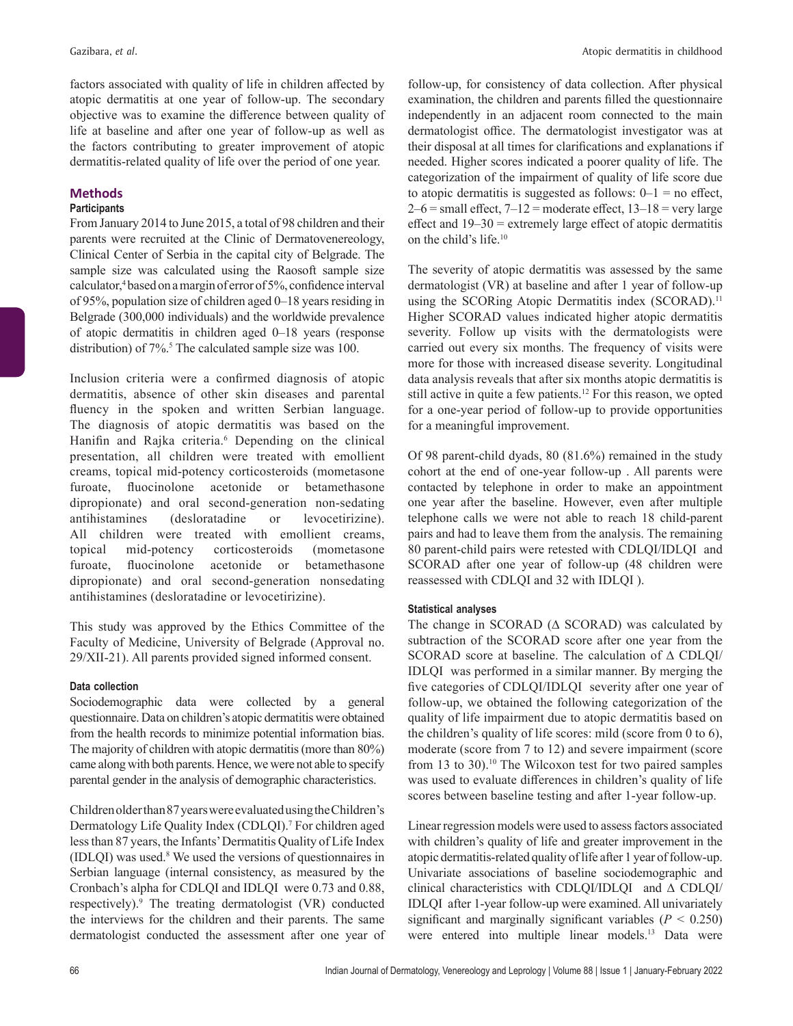factors associated with quality of life in children affected by atopic dermatitis at one year of follow-up. The secondary objective was to examine the difference between quality of life at baseline and after one year of follow‑up as well as the factors contributing to greater improvement of atopic dermatitis-related quality of life over the period of one year.

# **Methods**

# **Participants**

From January 2014 to June 2015, a total of 98 children and their parents were recruited at the Clinic of Dermatovenereology, Clinical Center of Serbia in the capital city of Belgrade. The sample size was calculated using the Raosoft sample size calculator,<sup>4</sup> based on a margin of error of 5%, confidence interval of 95%, population size of children aged 0–18 years residing in Belgrade (300,000 individuals) and the worldwide prevalence of atopic dermatitis in children aged 0–18 years (response distribution) of 7%.<sup>5</sup> The calculated sample size was 100.

Inclusion criteria were a confirmed diagnosis of atopic dermatitis, absence of other skin diseases and parental fluency in the spoken and written Serbian language. The diagnosis of atopic dermatitis was based on the Hanifin and Rajka criteria.<sup>6</sup> Depending on the clinical presentation, all children were treated with emollient creams, topical mid‑potency corticosteroids (mometasone furoate, fluocinolone acetonide or betamethasone dipropionate) and oral second-generation non-sedating antihistamines (desloratadine or levocetirizine). All children were treated with emollient creams, topical mid‑potency corticosteroids (mometasone furoate, fluocinolone acetonide or betamethasone dipropionate) and oral second‑generation nonsedating antihistamines (desloratadine or levocetirizine).

This study was approved by the Ethics Committee of the Faculty of Medicine, University of Belgrade (Approval no. 29/XII‑21). All parents provided signed informed consent.

# **Data collection**

Sociodemographic data were collected by a general questionnaire. Data on children's atopic dermatitis were obtained from the health records to minimize potential information bias. The majority of children with atopic dermatitis(more than 80%) came along with both parents. Hence, we were not able to specify parental gender in the analysis of demographic characteristics.

Children older than 87years were evaluated using the Children's Dermatology Life Quality Index (CDLQI).<sup>7</sup> For children aged less than 87 years, the Infants' Dermatitis Quality of Life Index (IDLQI) was used.8 We used the versions of questionnaires in Serbian language (internal consistency, as measured by the Cronbach's alpha for CDLQI and IDLQI were 0.73 and 0.88, respectively).9 The treating dermatologist (VR) conducted the interviews for the children and their parents. The same dermatologist conducted the assessment after one year of follow‑up, for consistency of data collection. After physical examination, the children and parents filled the questionnaire independently in an adjacent room connected to the main dermatologist office. The dermatologist investigator was at their disposal at all times for clarifications and explanations if needed. Higher scores indicated a poorer quality of life. The categorization of the impairment of quality of life score due to atopic dermatitis is suggested as follows:  $0-1 =$  no effect,  $2-6$  = small effect,  $7-12$  = moderate effect,  $13-18$  = very large effect and 19–30 = extremely large effect of atopic dermatitis on the child's life.10

The severity of atopic dermatitis was assessed by the same dermatologist (VR) at baseline and after 1 year of follow‑up using the SCORing Atopic Dermatitis index (SCORAD).<sup>11</sup> Higher SCORAD values indicated higher atopic dermatitis severity. Follow up visits with the dermatologists were carried out every six months. The frequency of visits were more for those with increased disease severity. Longitudinal data analysis reveals that after six months atopic dermatitis is still active in quite a few patients.<sup>12</sup> For this reason, we opted for a one‑year period of follow‑up to provide opportunities for a meaningful improvement.

Of 98 parent-child dyads, 80 (81.6%) remained in the study cohort at the end of one‑year follow‑up . All parents were contacted by telephone in order to make an appointment one year after the baseline. However, even after multiple telephone calls we were not able to reach 18 child-parent pairs and had to leave them from the analysis. The remaining 80 parent-child pairs were retested with CDLQI/IDLQI and SCORAD after one year of follow-up (48 children were reassessed with CDLQI and 32 with IDLQI ).

# **Statistical analyses**

The change in SCORAD ( $\Delta$  SCORAD) was calculated by subtraction of the SCORAD score after one year from the SCORAD score at baseline. The calculation of ∆ CDLQI/ IDLQI was performed in a similar manner. By merging the five categories of CDLQI/IDLQI severity after one year of follow‑up, we obtained the following categorization of the quality of life impairment due to atopic dermatitis based on the children's quality of life scores: mild (score from 0 to 6), moderate (score from 7 to 12) and severe impairment (score from 13 to 30).<sup>10</sup> The Wilcoxon test for two paired samples was used to evaluate differences in children's quality of life scores between baseline testing and after 1-year follow-up.

Linear regression models were used to assess factors associated with children's quality of life and greater improvement in the atopic dermatitis‑related quality of life after 1 year of follow‑up. Univariate associations of baseline sociodemographic and clinical characteristics with CDLQI/IDLQI and ∆ CDLQI/ IDLQI after 1‑year follow‑up were examined. All univariately significant and marginally significant variables  $(P < 0.250)$ were entered into multiple linear models.13 Data were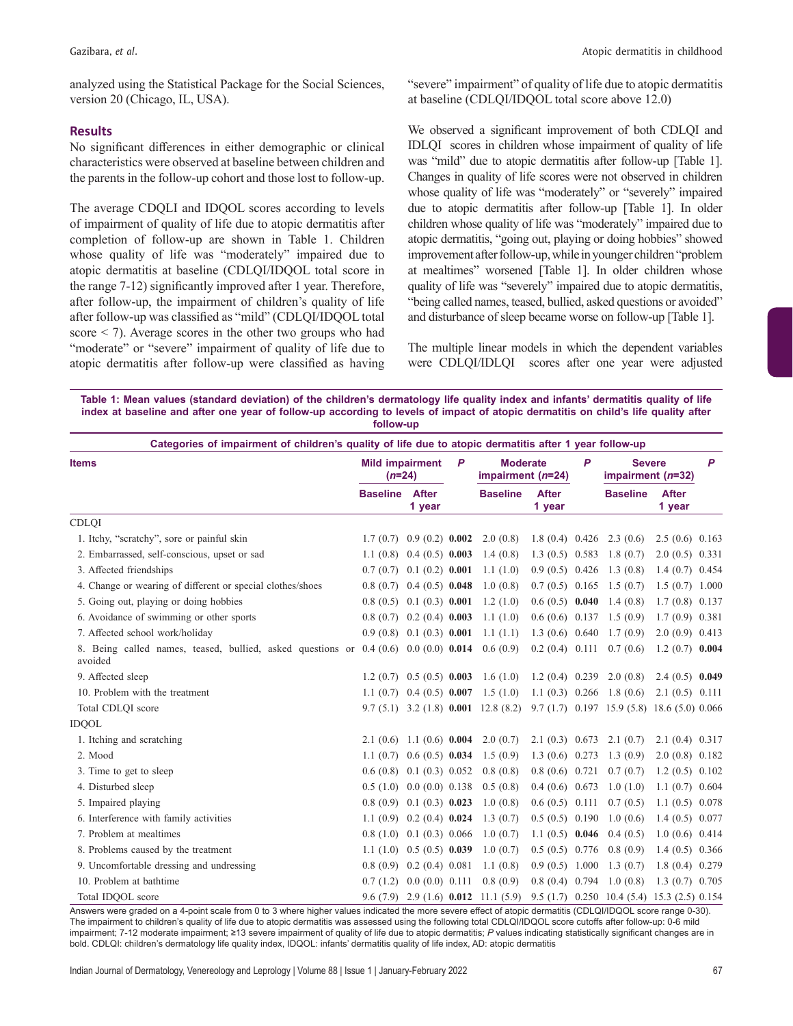analyzed using the Statistical Package for the Social Sciences, version 20 (Chicago, IL, USA).

#### **Results**

No significant differences in either demographic or clinical characteristics were observed at baseline between children and the parents in the follow-up cohort and those lost to follow-up.

The average CDQLI and IDQOL scores according to levels of impairment of quality of life due to atopic dermatitis after completion of follow‑up are shown in Table 1. Children whose quality of life was "moderately" impaired due to atopic dermatitis at baseline (CDLQI/IDQOL total score in the range 7‑12) significantly improved after 1 year. Therefore, after follow‑up, the impairment of children's quality of life after follow‑up was classified as "mild" (CDLQI/IDQOL total score < 7). Average scores in the other two groups who had "moderate" or "severe" impairment of quality of life due to atopic dermatitis after follow‑up were classified as having "severe" impairment" of quality of life due to atopic dermatitis at baseline (CDLQI/IDQOL total score above 12.0)

We observed a significant improvement of both CDLQI and IDLQI scores in children whose impairment of quality of life was "mild" due to atopic dermatitis after follow-up [Table 1]. Changes in quality of life scores were not observed in children whose quality of life was "moderately" or "severely" impaired due to atopic dermatitis after follow‑up [Table 1]. In older children whose quality of life was "moderately" impaired due to atopic dermatitis, "going out, playing or doing hobbies" showed improvement after follow-up, while in younger children "problem at mealtimes" worsened [Table 1]. In older children whose quality of life was "severely" impaired due to atopic dermatitis, "being called names, teased, bullied, asked questions or avoided" and disturbance of sleep became worse on follow‑up [Table 1].

The multiple linear models in which the dependent variables were CDLQI/IDLQI scores after one year were adjusted

**Table 1: Mean values (standard deviation) of the children's dermatology life quality index and infants' dermatitis quality of life index at baseline and after one year of follow-up according to levels of impact of atopic dermatitis on child's life quality after follow-up**

| <b>Items</b>                                                                                        | <b>Mild impairment</b><br>$(n=24)$ |                               | P | <b>Moderate</b><br>impairment (n=24)         |                        | P | <b>Severe</b><br>impairment (n=32)                 |                        | P |
|-----------------------------------------------------------------------------------------------------|------------------------------------|-------------------------------|---|----------------------------------------------|------------------------|---|----------------------------------------------------|------------------------|---|
|                                                                                                     | <b>Baseline</b>                    | <b>After</b><br>1 year        |   | <b>Baseline</b>                              | <b>After</b><br>1 year |   | <b>Baseline</b>                                    | <b>After</b><br>1 year |   |
| <b>CDLOI</b>                                                                                        |                                    |                               |   |                                              |                        |   |                                                    |                        |   |
| 1. Itchy, "scratchy", sore or painful skin                                                          | 1.7(0.7)                           | $0.9(0.2)$ 0.002              |   | 2.0(0.8)                                     |                        |   | $1.8(0.4)$ 0.426 2.3 (0.6)                         | $2.5(0.6)$ 0.163       |   |
| 2. Embarrassed, self-conscious, upset or sad                                                        |                                    | 1.1 $(0.8)$ 0.4 $(0.5)$ 0.003 |   | 1.4(0.8)                                     | $1.3(0.5)$ 0.583       |   | 1.8(0.7)                                           | $2.0(0.5)$ 0.331       |   |
| 3. Affected friendships                                                                             | $0.7(0.7)$ $0.1(0.2)$ $0.001$      |                               |   | 1.1(1.0)                                     | $0.9(0.5)$ 0.426       |   | 1.3(0.8)                                           | $1.4(0.7)$ 0.454       |   |
| 4. Change or wearing of different or special clothes/shoes                                          | $0.8(0.7)$ 0.4 (0.5) 0.048         |                               |   | 1.0(0.8)                                     | $0.7(0.5)$ 0.165       |   | 1.5(0.7)                                           | 1.5(0.7)1.000          |   |
| 5. Going out, playing or doing hobbies                                                              | $0.8(0.5)$ $0.1(0.3)$ $0.001$      |                               |   | 1.2(1.0)                                     | $0.6(0.5)$ 0.040       |   | 1.4(0.8)                                           | $1.7(0.8)$ 0.137       |   |
| 6. Avoidance of swimming or other sports                                                            | $0.8(0.7)$ $0.2(0.4)$ $0.003$      |                               |   | 1.1(1.0)                                     | $0.6(0.6)$ 0.137       |   | 1.5(0.9)                                           | $1.7(0.9)$ 0.381       |   |
| 7. Affected school work/holiday                                                                     | $0.9(0.8)$ $0.1(0.3)$ $0.001$      |                               |   | 1.1(1.1)                                     | 1.3(0.6)0.640          |   | 1.7(0.9)                                           | $2.0(0.9)$ 0.413       |   |
| 8. Being called names, teased, bullied, asked questions or $0.4(0.6)$ $0.0(0.0)$ $0.014$<br>avoided |                                    |                               |   | 0.6(0.9)                                     | $0.2(0.4)$ 0.111       |   | 0.7(0.6)                                           | $1.2(0.7)$ 0.004       |   |
| 9. Affected sleep                                                                                   | $1.2(0.7)$ 0.5 (0.5) 0.003         |                               |   | 1.6(1.0)                                     | $1.2(0.4)$ 0.239       |   | 2.0(0.8)                                           | $2.4(0.5)$ 0.049       |   |
| 10. Problem with the treatment                                                                      |                                    | 1.1 $(0.7)$ 0.4 $(0.5)$ 0.007 |   | 1.5(1.0)                                     |                        |   | $1.1(0.3)$ 0.266 1.8 (0.6)                         | $2.1(0.5)$ 0.111       |   |
| Total CDLQI score                                                                                   |                                    |                               |   | $9.7(5.1)$ 3.2 (1.8) 0.001 12.8 (8.2)        |                        |   | $9.7(1.7)$ 0.197 15.9 (5.8) 18.6 (5.0) 0.066       |                        |   |
| <b>IDOOL</b>                                                                                        |                                    |                               |   |                                              |                        |   |                                                    |                        |   |
| 1. Itching and scratching                                                                           | $2.1(0.6)$ 1.1 (0.6) 0.004         |                               |   | 2.0(0.7)                                     | 2.1(0.3)0.673          |   | 2.1(0.7)                                           | 2.1(0.4)0.317          |   |
| 2. Mood                                                                                             |                                    | 1.1 $(0.7)$ 0.6 $(0.5)$ 0.034 |   | 1.5(0.9)                                     | $1.3(0.6)$ 0.273       |   | 1.3(0.9)                                           | 2.0(0.8)0.182          |   |
| 3. Time to get to sleep                                                                             | $0.6(0.8)$ $0.1(0.3)$ $0.052$      |                               |   | 0.8(0.8)                                     | $0.8(0.6)$ 0.721       |   | 0.7(0.7)                                           | 1.2(0.5)0.102          |   |
| 4. Disturbed sleep                                                                                  | $0.5(1.0)$ $0.0(0.0)$ $0.138$      |                               |   | 0.5(0.8)                                     | $0.4(0.6)$ 0.673       |   | 1.0(1.0)                                           | 1.1(0.7)0.604          |   |
| 5. Impaired playing                                                                                 | $0.8(0.9)$ $0.1(0.3)$ $0.023$      |                               |   | 1.0(0.8)                                     | $0.6(0.5)$ 0.111       |   | 0.7(0.5)                                           | 1.1(0.5)0.078          |   |
| 6. Interference with family activities                                                              |                                    | $1.1(0.9)$ 0.2 (0.4) 0.024    |   | 1.3(0.7)                                     | $0.5(0.5)$ 0.190       |   | 1.0(0.6)                                           | 1.4(0.5)0.077          |   |
| 7. Problem at mealtimes                                                                             | $0.8(1.0)$ $0.1(0.3)$ $0.066$      |                               |   | 1.0(0.7)                                     | 1.1 $(0.5)$ 0.046      |   | 0.4(0.5)                                           | 1.0(0.6)0.414          |   |
| 8. Problems caused by the treatment                                                                 |                                    | $1.1(1.0)$ 0.5 (0.5) 0.039    |   | 1.0(0.7)                                     | $0.5(0.5)$ 0.776       |   | 0.8(0.9)                                           | $1.4(0.5)$ 0.366       |   |
| 9. Uncomfortable dressing and undressing                                                            | $0.8(0.9)$ $0.2(0.4)$ $0.081$      |                               |   | 1.1(0.8)                                     | 0.9(0.5)1.000          |   | 1.3(0.7)                                           | 1.8(0.4)0.279          |   |
| 10. Problem at bathtime                                                                             | $0.7(1.2)$ $0.0(0.0)$ $0.111$      |                               |   | 0.8(0.9)                                     | $0.8(0.4)$ 0.794       |   | 1.0(0.8)                                           | $1.3(0.7)$ 0.705       |   |
| Total IDQOL score                                                                                   |                                    |                               |   | $9.6(7.9)$ 2.9 (1.6) <b>0.012</b> 11.1 (5.9) |                        |   | $9.5(1.7)$ $0.250$ $10.4(5.4)$ $15.3(2.5)$ $0.154$ |                        |   |

Answers were graded on a 4‑point scale from 0 to 3 where higher values indicated the more severe effect of atopic dermatitis (CDLQI/IDQOL score range 0-30). The impairment to children's quality of life due to atopic dermatitis was assessed using the following total CDLQI/IDQOL score cutoffs after follow‑up: 0-6 mild impairment; 7-12 moderate impairment; ≥13 severe impairment of quality of life due to atopic dermatitis; *P* values indicating statistically significant changes are in bold. CDLQI: children's dermatology life quality index, IDQOL: infants' dermatitis quality of life index, AD: atopic dermatitis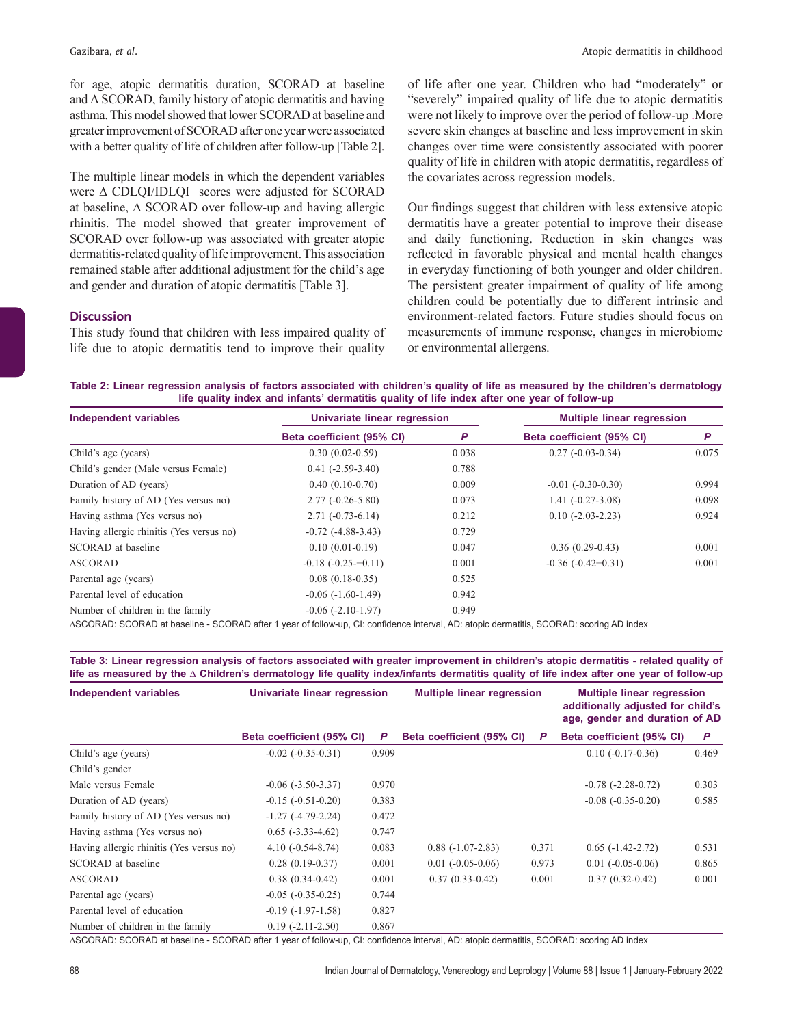for age, atopic dermatitis duration, SCORAD at baseline and ∆ SCORAD, family history of atopic dermatitis and having asthma. This model showed that lower SCORAD at baseline and greater improvement of SCORAD after one year were associated with a better quality of life of children after follow-up [Table 2].

The multiple linear models in which the dependent variables were ∆ CDLQI/IDLQI scores were adjusted for SCORAD at baseline, ∆ SCORAD over follow‑up and having allergic rhinitis. The model showed that greater improvement of SCORAD over follow‑up was associated with greater atopic dermatitis-related quality of life improvement. This association remained stable after additional adjustment for the child's age and gender and duration of atopic dermatitis [Table 3].

# **Discussion**

This study found that children with less impaired quality of life due to atopic dermatitis tend to improve their quality of life after one year. Children who had "moderately" or "severely" impaired quality of life due to atopic dermatitis were not likely to improve over the period of follow‑up .More severe skin changes at baseline and less improvement in skin changes over time were consistently associated with poorer quality of life in children with atopic dermatitis, regardless of the covariates across regression models.

Our findings suggest that children with less extensive atopic dermatitis have a greater potential to improve their disease and daily functioning. Reduction in skin changes was reflected in favorable physical and mental health changes in everyday functioning of both younger and older children. The persistent greater impairment of quality of life among children could be potentially due to different intrinsic and environment‑related factors. Future studies should focus on measurements of immune response, changes in microbiome or environmental allergens.

**Table 2: Linear regression analysis of factors associated with children's quality of life as measured by the children's dermatology life quality index and infants' dermatitis quality of life index after one year of follow-up**

| Independent variables                    | Univariate linear regression |       | <b>Multiple linear regression</b> |       |  |
|------------------------------------------|------------------------------|-------|-----------------------------------|-------|--|
|                                          | Beta coefficient (95% CI)    | P     | Beta coefficient (95% CI)         | P     |  |
| Child's age (years)                      | $0.30(0.02-0.59)$            | 0.038 | $0.27(-0.03-0.34)$                | 0.075 |  |
| Child's gender (Male versus Female)      | $0.41(-2.59-3.40)$           | 0.788 |                                   |       |  |
| Duration of AD (years)                   | $0.40(0.10-0.70)$            | 0.009 | $-0.01$ $(-0.30-0.30)$            | 0.994 |  |
| Family history of AD (Yes versus no)     | $2.77(-0.26-5.80)$           | 0.073 | $1.41(-0.27-3.08)$                | 0.098 |  |
| Having asthma (Yes versus no)            | $2.71(-0.73-6.14)$           | 0.212 | $0.10(-2.03-2.23)$                | 0.924 |  |
| Having allergic rhinitis (Yes versus no) | $-0.72$ $(-4.88-3.43)$       | 0.729 |                                   |       |  |
| SCORAD at baseline                       | $0.10(0.01-0.19)$            | 0.047 | $0.36(0.29-0.43)$                 | 0.001 |  |
| <b>ASCORAD</b>                           | $-0.18$ $(-0.25 - 0.11)$     | 0.001 | $-0.36(-0.42-0.31)$               | 0.001 |  |
| Parental age (years)                     | $0.08(0.18-0.35)$            | 0.525 |                                   |       |  |
| Parental level of education              | $-0.06(-1.60-1.49)$          | 0.942 |                                   |       |  |
| Number of children in the family         | $-0.06$ $(-2.10-1.97)$       | 0.949 |                                   |       |  |

∆SCORAD: SCORAD at baseline ‑ SCORAD after 1 year of follow‑up, CI: confidence interval, AD: atopic dermatitis, SCORAD: scoring AD index

**Table 3: Linear regression analysis of factors associated with greater improvement in children's atopic dermatitis - related quality of**  life as measured by the  $\Delta$  Children's dermatology life quality index/infants dermatitis quality of life index after one year of follow-up

| <b>Independent variables</b>             | Univariate linear regression |       | <b>Multiple linear regression</b> |       | <b>Multiple linear regression</b><br>additionally adjusted for child's<br>age, gender and duration of AD |       |  |
|------------------------------------------|------------------------------|-------|-----------------------------------|-------|----------------------------------------------------------------------------------------------------------|-------|--|
|                                          | Beta coefficient (95% CI)    | P     | Beta coefficient (95% CI)         | P     | Beta coefficient (95% CI)                                                                                | P     |  |
| Child's age (years)                      | $-0.02$ $(-0.35-0.31)$       | 0.909 |                                   |       | $0.10(-0.17-0.36)$                                                                                       | 0.469 |  |
| Child's gender                           |                              |       |                                   |       |                                                                                                          |       |  |
| Male versus Female                       | $-0.06$ $(-3.50-3.37)$       | 0.970 |                                   |       | $-0.78$ $(-2.28-0.72)$                                                                                   | 0.303 |  |
| Duration of AD (years)                   | $-0.15(-0.51-0.20)$          | 0.383 |                                   |       | $-0.08$ $(-0.35-0.20)$                                                                                   | 0.585 |  |
| Family history of AD (Yes versus no)     | $-1.27(-4.79-2.24)$          | 0.472 |                                   |       |                                                                                                          |       |  |
| Having asthma (Yes versus no)            | $0.65$ (-3.33-4.62)          | 0.747 |                                   |       |                                                                                                          |       |  |
| Having allergic rhinitis (Yes versus no) | $4.10(-0.54-8.74)$           | 0.083 | $0.88(-1.07-2.83)$                | 0.371 | $0.65$ ( $-1.42 - 2.72$ )                                                                                | 0.531 |  |
| SCORAD at baseline                       | $0.28(0.19-0.37)$            | 0.001 | $0.01(-0.05-0.06)$                | 0.973 | $0.01(-0.05-0.06)$                                                                                       | 0.865 |  |
| <b>ASCORAD</b>                           | $0.38(0.34-0.42)$            | 0.001 | $0.37(0.33-0.42)$                 | 0.001 | $0.37(0.32 - 0.42)$                                                                                      | 0.001 |  |
| Parental age (years)                     | $-0.05$ $(-0.35-0.25)$       | 0.744 |                                   |       |                                                                                                          |       |  |
| Parental level of education              | $-0.19(-1.97-1.58)$          | 0.827 |                                   |       |                                                                                                          |       |  |
| Number of children in the family         | $0.19(-2.11-2.50)$           | 0.867 |                                   |       |                                                                                                          |       |  |

∆SCORAD: SCORAD at baseline ‑ SCORAD after 1 year of follow‑up, CI: confidence interval, AD: atopic dermatitis, SCORAD: scoring AD index